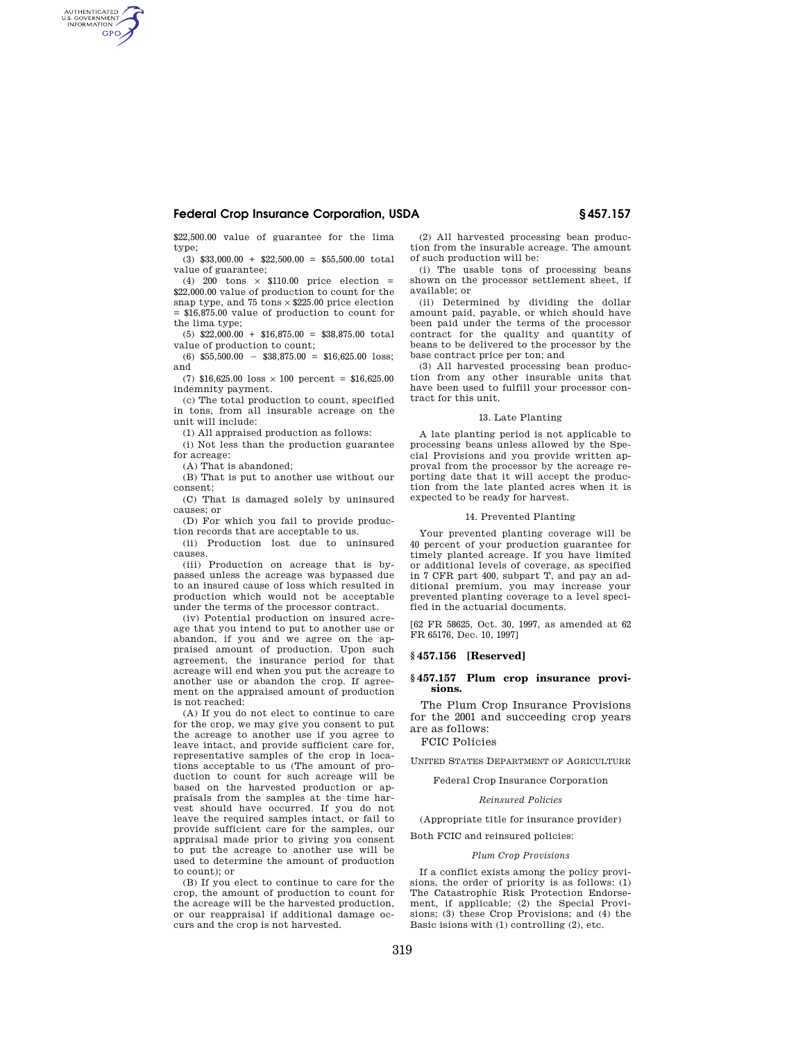# **Federal Crop Insurance Corporation, USDA § 457.157**

\$22,500.00 value of guarantee for the lima type;

 $(3)$  \$33,000.00 + \$22,500.00 = \$55,500.00 total value of guarantee;

(4) 200 tons  $\times$  \$110.00 price election = \$22,000.00 value of production to count for the snap type, and 75 tons  $\times$  \$225.00 price election = \$16,875.00 value of production to count for the lima type;

 $(5)$  \$22,000.00 + \$16,875.00 = \$38,875.00 total value of production to count;

 $(6)$  \$55,500.00 = \$38,875.00 = \$16,625.00 loss; and

(7)  $$16,625.00$  loss  $\times$  100 percent = \$16,625.00 indemnity payment.

(c) The total production to count, specified in tons, from all insurable acreage on the unit will include:

(1) All appraised production as follows:

(i) Not less than the production guarantee for acreage:

(A) That is abandoned;

AUTHENTICATED<br>U.S. GOVERNMENT<br>INFORMATION **GPO** 

> (B) That is put to another use without our consent;

> (C) That is damaged solely by uninsured causes; or

(D) For which you fail to provide production records that are acceptable to us.

(ii) Production lost due to uninsured causes.

(iii) Production on acreage that is bypassed unless the acreage was bypassed due to an insured cause of loss which resulted in production which would not be acceptable under the terms of the processor contract.

(iv) Potential production on insured acreage that you intend to put to another use or abandon, if you and we agree on the appraised amount of production. Upon such agreement, the insurance period for that acreage will end when you put the acreage to another use or abandon the crop. If agreement on the appraised amount of production is not reached:

(A) If you do not elect to continue to care for the crop, we may give you consent to put the acreage to another use if you agree to leave intact, and provide sufficient care for, representative samples of the crop in locations acceptable to us (The amount of production to count for such acreage will be based on the harvested production or appraisals from the samples at the time harvest should have occurred. If you do not leave the required samples intact, or fail to provide sufficient care for the samples, our appraisal made prior to giving you consent to put the acreage to another use will be used to determine the amount of production to count); or

(B) If you elect to continue to care for the crop, the amount of production to count for the acreage will be the harvested production, or our reappraisal if additional damage occurs and the crop is not harvested.

(2) All harvested processing bean production from the insurable acreage. The amount of such production will be:

(i) The usable tons of processing beans shown on the processor settlement sheet, if available; or

(ii) Determined by dividing the dollar amount paid, payable, or which should have been paid under the terms of the processor contract for the quality and quantity of beans to be delivered to the processor by the base contract price per ton; and

(3) All harvested processing bean production from any other insurable units that have been used to fulfill your processor contract for this unit.

#### 13. Late Planting

A late planting period is not applicable to processing beans unless allowed by the Special Provisions and you provide written approval from the processor by the acreage reporting date that it will accept the production from the late planted acres when it is expected to be ready for harvest.

#### 14. Prevented Planting

Your prevented planting coverage will be 40 percent of your production guarantee for timely planted acreage. If you have limited or additional levels of coverage, as specified in 7 CFR part 400, subpart T, and pay an additional premium, you may increase your prevented planting coverage to a level specified in the actuarial documents.

[62 FR 58625, Oct. 30, 1997, as amended at 62 FR 65176, Dec. 10, 1997]

#### **§ 457.156 [Reserved]**

#### **§ 457.157 Plum crop insurance provisions.**

The Plum Crop Insurance Provisions for the 2001 and succeeding crop years are as follows:

### FCIC Policies

UNITED STATES DEPARTMENT OF AGRICULTURE

Federal Crop Insurance Corporation

#### *Reinsured Policies*

(Appropriate title for insurance provider) Both FCIC and reinsured policies:

#### *Plum Crop Provisions*

If a conflict exists among the policy provisions, the order of priority is as follows: (1) The Catastrophic Risk Protection Endorsement, if applicable; (2) the Special Provisions; (3) these Crop Provisions; and (4) the Basic isions with (1) controlling (2), etc.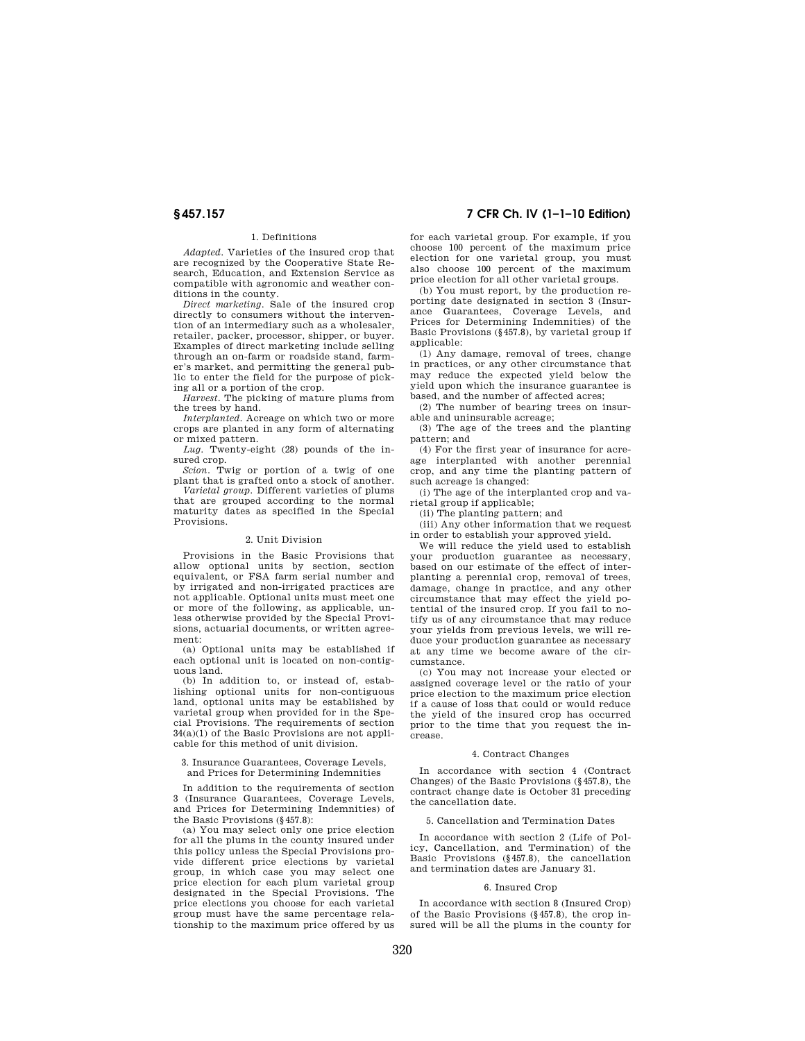# 1. Definitions

*Adapted.* Varieties of the insured crop that are recognized by the Cooperative State Research, Education, and Extension Service as compatible with agronomic and weather conditions in the county.

*Direct marketing.* Sale of the insured crop directly to consumers without the intervention of an intermediary such as a wholesaler, retailer, packer, processor, shipper, or buyer. Examples of direct marketing include selling through an on-farm or roadside stand, farmer's market, and permitting the general public to enter the field for the purpose of picking all or a portion of the crop.

*Harvest.* The picking of mature plums from the trees by hand.

*Interplanted.* Acreage on which two or more crops are planted in any form of alternating or mixed pattern.

*Lug.* Twenty-eight (28) pounds of the insured crop.

*Scion.* Twig or portion of a twig of one plant that is grafted onto a stock of another.

*Varietal group.* Different varieties of plums that are grouped according to the normal maturity dates as specified in the Special Provisions.

## 2. Unit Division

Provisions in the Basic Provisions that allow optional units by section, section equivalent, or FSA farm serial number and by irrigated and non-irrigated practices are not applicable. Optional units must meet one or more of the following, as applicable, unless otherwise provided by the Special Provisions, actuarial documents, or written agreement:

(a) Optional units may be established if each optional unit is located on non-contiguous land.

(b) In addition to, or instead of, establishing optional units for non-contiguous land, optional units may be established by varietal group when provided for in the Special Provisions. The requirements of section  $34(a)(1)$  of the Basic Provisions are not applicable for this method of unit division.

#### 3. Insurance Guarantees, Coverage Levels, and Prices for Determining Indemnities

In addition to the requirements of section 3 (Insurance Guarantees, Coverage Levels, and Prices for Determining Indemnities) of the Basic Provisions (§457.8):

(a) You may select only one price election for all the plums in the county insured under this policy unless the Special Provisions provide different price elections by varietal group, in which case you may select one price election for each plum varietal group designated in the Special Provisions. The price elections you choose for each varietal group must have the same percentage relationship to the maximum price offered by us

# **§ 457.157 7 CFR Ch. IV (1–1–10 Edition)**

for each varietal group. For example, if you choose 100 percent of the maximum price election for one varietal group, you must also choose 100 percent of the maximum price election for all other varietal groups.

(b) You must report, by the production reporting date designated in section 3 (Insurance Guarantees, Coverage Levels, and Prices for Determining Indemnities) of the Basic Provisions  $(\S 457.8)$ , by varietal group if applicable:

(1) Any damage, removal of trees, change in practices, or any other circumstance that may reduce the expected yield below the yield upon which the insurance guarantee is based, and the number of affected acres;

(2) The number of bearing trees on insurable and uninsurable acreage;

(3) The age of the trees and the planting pattern; and

(4) For the first year of insurance for acreage interplanted with another perennial crop, and any time the planting pattern of such acreage is changed:

(i) The age of the interplanted crop and varietal group if applicable;

(ii) The planting pattern; and

(iii) Any other information that we request in order to establish your approved yield.

We will reduce the yield used to establish your production guarantee as necessary, based on our estimate of the effect of interplanting a perennial crop, removal of trees, damage, change in practice, and any other circumstance that may effect the yield potential of the insured crop. If you fail to notify us of any circumstance that may reduce your yields from previous levels, we will reduce your production guarantee as necessary at any time we become aware of the circumstance.

(c) You may not increase your elected or assigned coverage level or the ratio of your price election to the maximum price election if a cause of loss that could or would reduce the yield of the insured crop has occurred prior to the time that you request the increase.

#### 4. Contract Changes

In accordance with section 4 (Contract Changes) of the Basic Provisions (§457.8), the contract change date is October 31 preceding the cancellation date.

#### 5. Cancellation and Termination Dates

In accordance with section 2 (Life of Policy, Cancellation, and Termination) of the Basic Provisions (§457.8), the cancellation and termination dates are January 31.

### 6. Insured Crop

In accordance with section 8 (Insured Crop) of the Basic Provisions (§457.8), the crop insured will be all the plums in the county for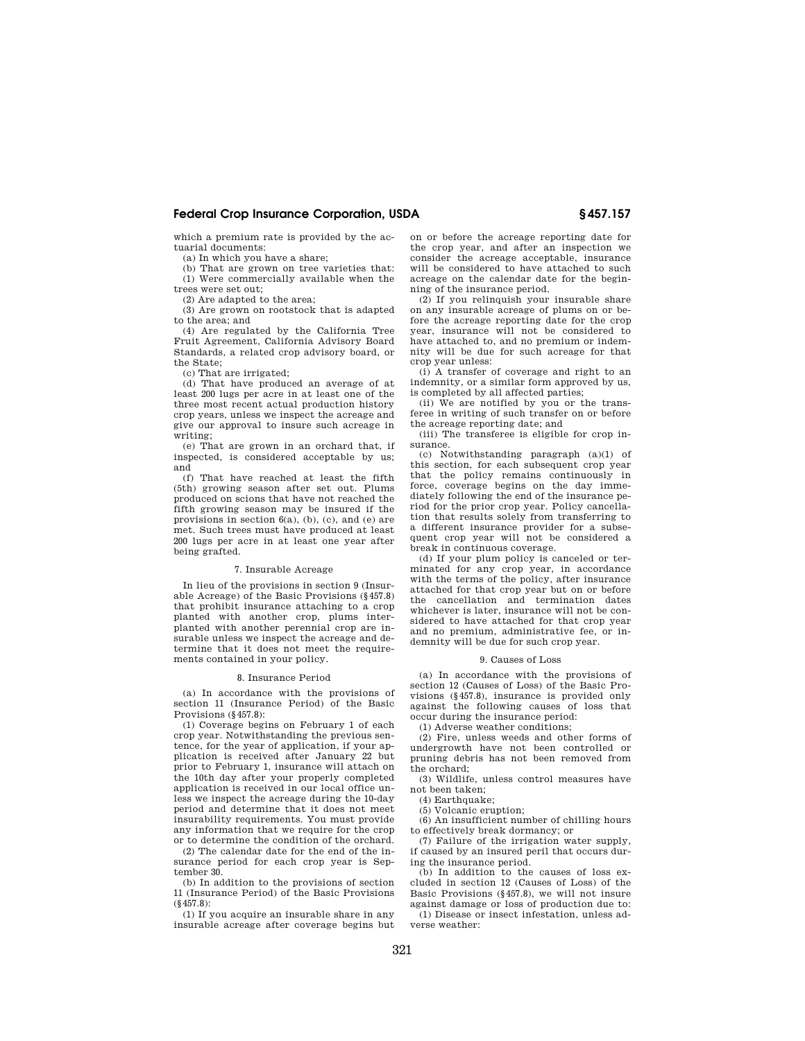# **Federal Crop Insurance Corporation, USDA § 457.157**

which a premium rate is provided by the actuarial documents:

(a) In which you have a share;

(b) That are grown on tree varieties that: (1) Were commercially available when the

trees were set out; (2) Are adapted to the area;

(3) Are grown on rootstock that is adapted

to the area; and

(4) Are regulated by the California Tree Fruit Agreement, California Advisory Board Standards, a related crop advisory board, or the State;

(c) That are irrigated;

(d) That have produced an average of at least 200 lugs per acre in at least one of the three most recent actual production history crop years, unless we inspect the acreage and give our approval to insure such acreage in writing;

(e) That are grown in an orchard that, if inspected, is considered acceptable by us; and

(f) That have reached at least the fifth (5th) growing season after set out. Plums produced on scions that have not reached the fifth growing season may be insured if the provisions in section 6(a), (b), (c), and (e) are met. Such trees must have produced at least 200 lugs per acre in at least one year after being grafted.

#### 7. Insurable Acreage

In lieu of the provisions in section 9 (Insurable Acreage) of the Basic Provisions (§457.8) that prohibit insurance attaching to a crop planted with another crop, plums interplanted with another perennial crop are insurable unless we inspect the acreage and determine that it does not meet the requirements contained in your policy.

#### 8. Insurance Period

(a) In accordance with the provisions of section 11 (Insurance Period) of the Basic Provisions (§457.8):

(1) Coverage begins on February 1 of each crop year. Notwithstanding the previous sentence, for the year of application, if your application is received after January 22 but prior to February 1, insurance will attach on the 10th day after your properly completed application is received in our local office unless we inspect the acreage during the 10-day period and determine that it does not meet insurability requirements. You must provide any information that we require for the crop or to determine the condition of the orchard.

(2) The calendar date for the end of the insurance period for each crop year is September 30.

(b) In addition to the provisions of section 11 (Insurance Period) of the Basic Provisions (§457.8):

(1) If you acquire an insurable share in any insurable acreage after coverage begins but on or before the acreage reporting date for the crop year, and after an inspection we consider the acreage acceptable, insurance will be considered to have attached to such acreage on the calendar date for the beginning of the insurance period.

(2) If you relinquish your insurable share on any insurable acreage of plums on or before the acreage reporting date for the crop year, insurance will not be considered to have attached to, and no premium or indemnity will be due for such acreage for that crop year unless:

(i) A transfer of coverage and right to an indemnity, or a similar form approved by us, is completed by all affected parties;

(ii) We are notified by you or the transferee in writing of such transfer on or before the acreage reporting date; and

(iii) The transferee is eligible for crop insurance.

(c) Notwithstanding paragraph (a)(1) of this section, for each subsequent crop year that the policy remains continuously in force, coverage begins on the day immediately following the end of the insurance period for the prior crop year. Policy cancellation that results solely from transferring to a different insurance provider for a subsequent crop year will not be considered a break in continuous coverage.

(d) If your plum policy is canceled or terminated for any crop year, in accordance with the terms of the policy, after insurance attached for that crop year but on or before the cancellation and termination dates whichever is later, insurance will not be considered to have attached for that crop year and no premium, administrative fee, or indemnity will be due for such crop year.

#### 9. Causes of Loss

(a) In accordance with the provisions of section 12 (Causes of Loss) of the Basic Provisions (§457.8), insurance is provided only against the following causes of loss that occur during the insurance period:

(1) Adverse weather conditions;

(2) Fire, unless weeds and other forms of undergrowth have not been controlled or pruning debris has not been removed from the orchard;

(3) Wildlife, unless control measures have not been taken;

(4) Earthquake;

(5) Volcanic eruption;

(6) An insufficient number of chilling hours to effectively break dormancy; or

(7) Failure of the irrigation water supply, if caused by an insured peril that occurs during the insurance period.

(b) In addition to the causes of loss excluded in section 12 (Causes of Loss) of the Basic Provisions (§457.8), we will not insure against damage or loss of production due to:

(1) Disease or insect infestation, unless adverse weather: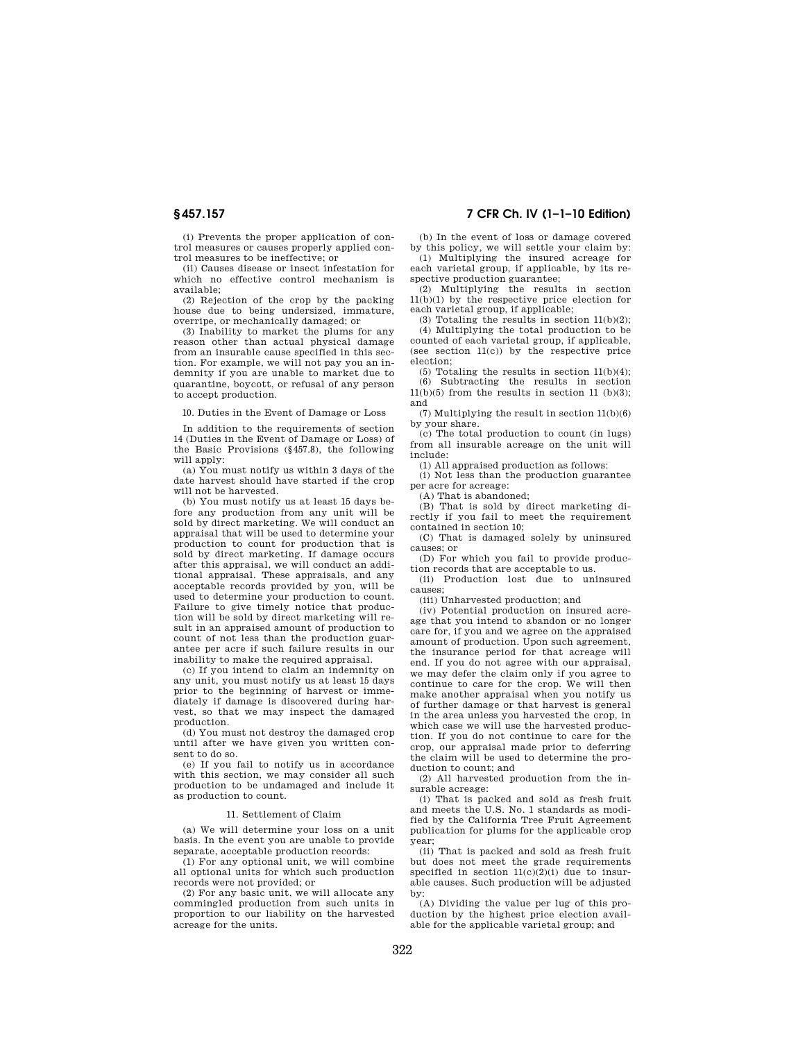(i) Prevents the proper application of control measures or causes properly applied control measures to be ineffective; or

(ii) Causes disease or insect infestation for which no effective control mechanism is available;

(2) Rejection of the crop by the packing house due to being undersized, immature, overripe, or mechanically damaged; or

(3) Inability to market the plums for any reason other than actual physical damage from an insurable cause specified in this section. For example, we will not pay you an indemnity if you are unable to market due to quarantine, boycott, or refusal of any person to accept production.

10. Duties in the Event of Damage or Loss

In addition to the requirements of section 14 (Duties in the Event of Damage or Loss) of the Basic Provisions (§457.8), the following will apply:

(a) You must notify us within 3 days of the date harvest should have started if the crop will not be harvested.

(b) You must notify us at least 15 days before any production from any unit will be sold by direct marketing. We will conduct an appraisal that will be used to determine your production to count for production that is sold by direct marketing. If damage occurs after this appraisal, we will conduct an additional appraisal. These appraisals, and any acceptable records provided by you, will be used to determine your production to count. Failure to give timely notice that production will be sold by direct marketing will result in an appraised amount of production to count of not less than the production guarantee per acre if such failure results in our inability to make the required appraisal.

(c) If you intend to claim an indemnity on any unit, you must notify us at least 15 days prior to the beginning of harvest or immediately if damage is discovered during harvest, so that we may inspect the damaged production.

(d) You must not destroy the damaged crop until after we have given you written consent to do so.

(e) If you fail to notify us in accordance with this section, we may consider all such production to be undamaged and include it as production to count.

#### 11. Settlement of Claim

(a) We will determine your loss on a unit basis. In the event you are unable to provide separate, acceptable production records:

(1) For any optional unit, we will combine all ontional units for which such production records were not provided; or

(2) For any basic unit, we will allocate any commingled production from such units in proportion to our liability on the harvested acreage for the units.

# **§ 457.157 7 CFR Ch. IV (1–1–10 Edition)**

(b) In the event of loss or damage covered by this policy, we will settle your claim by: (1) Multiplying the insured acreage for

each varietal group, if applicable, by its respective production guarantee; (2) Multiplying the results in section

 $11(b)(1)$  by the respective price election for each varietal group, if applicable;

(3) Totaling the results in section  $11(b)(2)$ ; (4) Multiplying the total production to be counted of each varietal group, if applicable, (see section 11(c)) by the respective price election;

(5) Totaling the results in section  $11(b)(4)$ ; (6) Subtracting the results in section  $11(b)(5)$  from the results in section 11 (b)(3); and

(7) Multiplying the result in section 11(b)(6) by your share.

(c) The total production to count (in lugs) from all insurable acreage on the unit will include:

(1) All appraised production as follows:

(i) Not less than the production guarantee per acre for acreage:

(A) That is abandoned;

(B) That is sold by direct marketing directly if you fail to meet the requirement contained in section 10;

(C) That is damaged solely by uninsured causes; or

(D) For which you fail to provide production records that are acceptable to us.

(ii) Production lost due to uninsured causes;

(iii) Unharvested production; and

(iv) Potential production on insured acreage that you intend to abandon or no longer care for, if you and we agree on the appraised amount of production. Upon such agreement, the insurance period for that acreage will end. If you do not agree with our appraisal, we may defer the claim only if you agree to continue to care for the crop. We will then make another appraisal when you notify us of further damage or that harvest is general in the area unless you harvested the crop, in which case we will use the harvested production. If you do not continue to care for the crop, our appraisal made prior to deferring the claim will be used to determine the production to count; and

(2) All harvested production from the insurable acreage:

(i) That is packed and sold as fresh fruit and meets the U.S. No. 1 standards as modified by the California Tree Fruit Agreement publication for plums for the applicable crop year;

(ii) That is packed and sold as fresh fruit but does not meet the grade requirements specified in section  $11(c)(2)(i)$  due to insurable causes. Such production will be adjusted by:

(A) Dividing the value per lug of this production by the highest price election available for the applicable varietal group; and